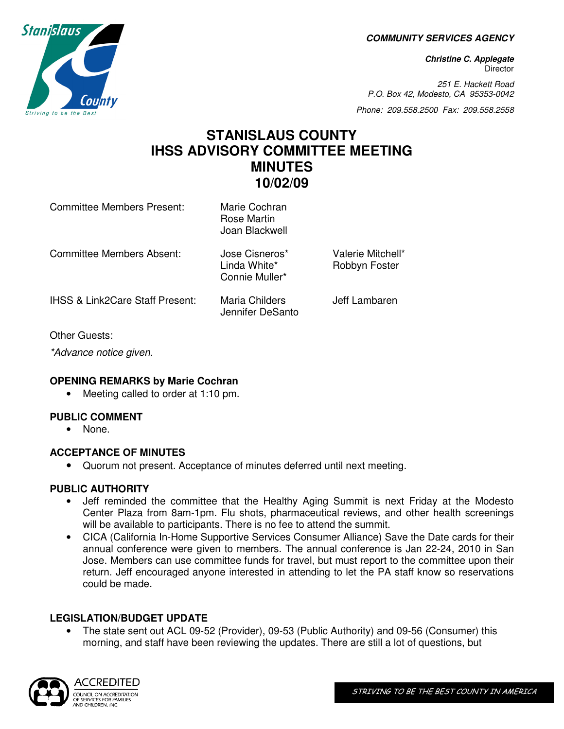**COMMUNITY SERVICES AGENCY** 

**Christine C. Applegate Director** 

251 E. Hackett Road P.O. Box 42, Modesto, CA 95353-0042

Phone: 209.558.2500 Fax: 209.558.2558

# **STANISLAUS COUNTY IHSS ADVISORY COMMITTEE MEETING MINUTES 10/02/09**

| <b>Committee Members Present:</b>          | Marie Cochran<br>Rose Martin<br>Joan Blackwell   |                                    |
|--------------------------------------------|--------------------------------------------------|------------------------------------|
| Committee Members Absent:                  | Jose Cisneros*<br>Linda White*<br>Connie Muller* | Valerie Mitchell*<br>Robbyn Foster |
| <b>IHSS &amp; Link2Care Staff Present:</b> | Maria Childers<br>Jennifer DeSanto               | Jeff Lambaren                      |

Other Guests:

\*Advance notice given.

#### **OPENING REMARKS by Marie Cochran**

• Meeting called to order at 1:10 pm.

## **PUBLIC COMMENT**

• None.

#### **ACCEPTANCE OF MINUTES**

• Quorum not present. Acceptance of minutes deferred until next meeting.

## **PUBLIC AUTHORITY**

- Jeff reminded the committee that the Healthy Aging Summit is next Friday at the Modesto Center Plaza from 8am-1pm. Flu shots, pharmaceutical reviews, and other health screenings will be available to participants. There is no fee to attend the summit.
- CICA (California In-Home Supportive Services Consumer Alliance) Save the Date cards for their annual conference were given to members. The annual conference is Jan 22-24, 2010 in San Jose. Members can use committee funds for travel, but must report to the committee upon their return. Jeff encouraged anyone interested in attending to let the PA staff know so reservations could be made.

## **LEGISLATION/BUDGET UPDATE**

• The state sent out ACL 09-52 (Provider), 09-53 (Public Authority) and 09-56 (Consumer) this morning, and staff have been reviewing the updates. There are still a lot of questions, but